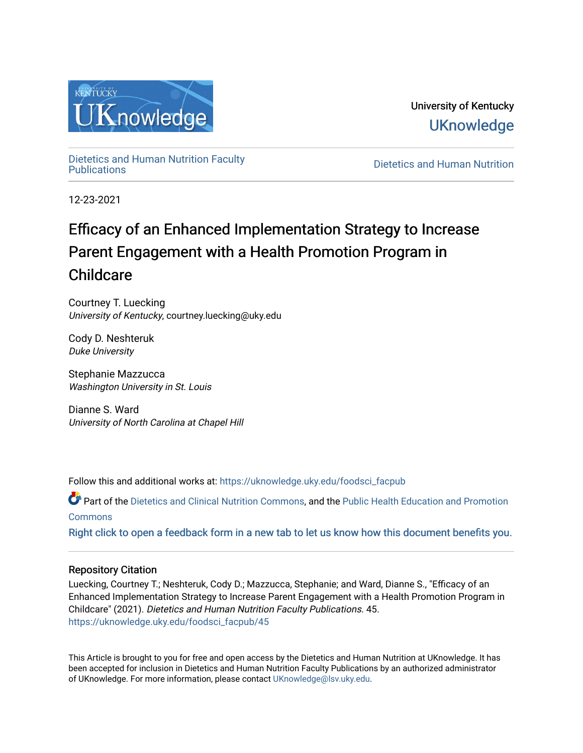

University of Kentucky **UKnowledge** 

[Dietetics and Human Nutrition Faculty](https://uknowledge.uky.edu/foodsci_facpub)

**Dietetics and Human Nutrition** 

12-23-2021

# Efficacy of an Enhanced Implementation Strategy to Increase Parent Engagement with a Health Promotion Program in Childcare

Courtney T. Luecking University of Kentucky, courtney.luecking@uky.edu

Cody D. Neshteruk Duke University

Stephanie Mazzucca Washington University in St. Louis

Dianne S. Ward University of North Carolina at Chapel Hill

Follow this and additional works at: [https://uknowledge.uky.edu/foodsci\\_facpub](https://uknowledge.uky.edu/foodsci_facpub?utm_source=uknowledge.uky.edu%2Ffoodsci_facpub%2F45&utm_medium=PDF&utm_campaign=PDFCoverPages)

Part of the [Dietetics and Clinical Nutrition Commons,](http://network.bepress.com/hgg/discipline/662?utm_source=uknowledge.uky.edu%2Ffoodsci_facpub%2F45&utm_medium=PDF&utm_campaign=PDFCoverPages) and the Public Health Education and Promotion **[Commons](http://network.bepress.com/hgg/discipline/743?utm_source=uknowledge.uky.edu%2Ffoodsci_facpub%2F45&utm_medium=PDF&utm_campaign=PDFCoverPages)** 

[Right click to open a feedback form in a new tab to let us know how this document benefits you.](https://uky.az1.qualtrics.com/jfe/form/SV_9mq8fx2GnONRfz7)

### Repository Citation

Luecking, Courtney T.; Neshteruk, Cody D.; Mazzucca, Stephanie; and Ward, Dianne S., "Efficacy of an Enhanced Implementation Strategy to Increase Parent Engagement with a Health Promotion Program in Childcare" (2021). Dietetics and Human Nutrition Faculty Publications. 45. [https://uknowledge.uky.edu/foodsci\\_facpub/45](https://uknowledge.uky.edu/foodsci_facpub/45?utm_source=uknowledge.uky.edu%2Ffoodsci_facpub%2F45&utm_medium=PDF&utm_campaign=PDFCoverPages) 

This Article is brought to you for free and open access by the Dietetics and Human Nutrition at UKnowledge. It has been accepted for inclusion in Dietetics and Human Nutrition Faculty Publications by an authorized administrator of UKnowledge. For more information, please contact [UKnowledge@lsv.uky.edu.](mailto:UKnowledge@lsv.uky.edu)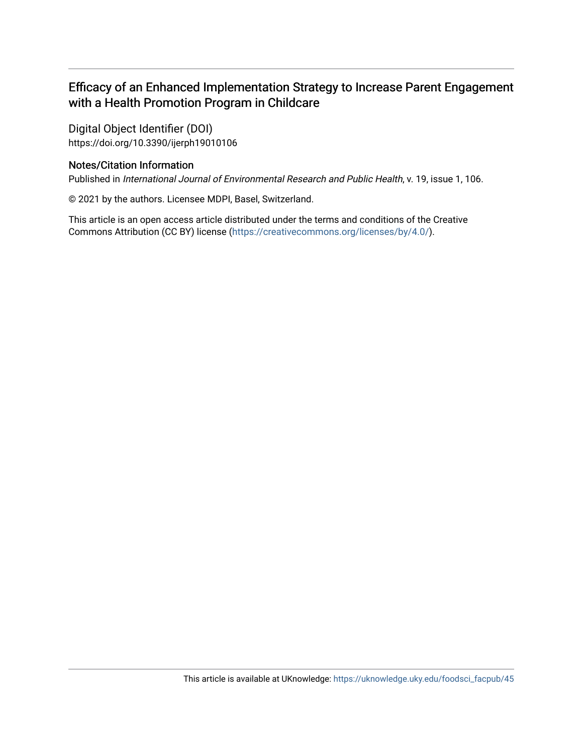## Efficacy of an Enhanced Implementation Strategy to Increase Parent Engagement with a Health Promotion Program in Childcare

Digital Object Identifier (DOI) https://doi.org/10.3390/ijerph19010106

### Notes/Citation Information

Published in International Journal of Environmental Research and Public Health, v. 19, issue 1, 106.

© 2021 by the authors. Licensee MDPI, Basel, Switzerland.

This article is an open access article distributed under the terms and conditions of the Creative Commons Attribution (CC BY) license ([https://creativecommons.org/licenses/by/4.0/\)](https://creativecommons.org/licenses/by/4.0/).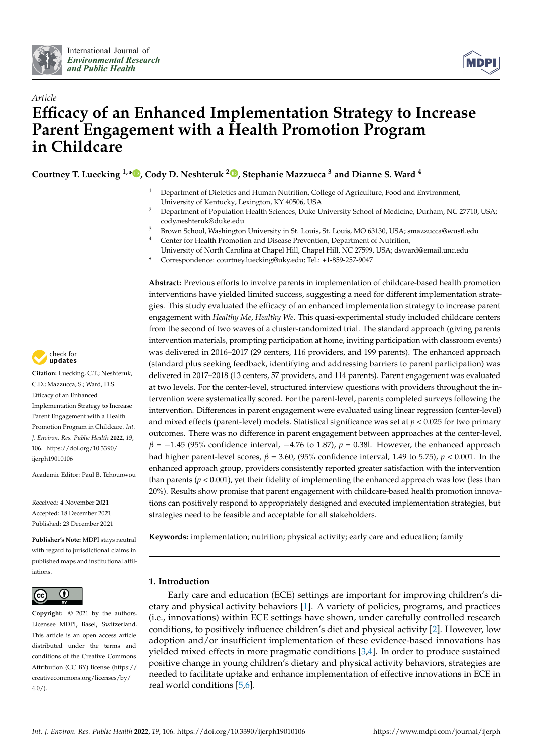



# *Article* **Efficacy of an Enhanced Implementation Strategy to Increase Parent Engagement with a Health Promotion Program in Childcare**

**Courtney T. Luecking 1,\* [,](https://orcid.org/0000-0002-6897-9337) Cody D. Neshteruk <sup>2</sup> [,](https://orcid.org/0000-0002-0516-6873) Stephanie Mazzucca <sup>3</sup> and Dianne S. Ward <sup>4</sup>**

- <sup>1</sup> Department of Dietetics and Human Nutrition, College of Agriculture, Food and Environment, University of Kentucky, Lexington, KY 40506, USA
- <sup>2</sup> Department of Population Health Sciences, Duke University School of Medicine, Durham, NC 27710, USA; cody.neshteruk@duke.edu
- <sup>3</sup> Brown School, Washington University in St. Louis, St. Louis, MO 63130, USA; smazzucca@wustl.edu<br><sup>4</sup> Contex for Health Promotion and Disease Prevention. Department of Nutrition <sup>4</sup> Center for Health Promotion and Disease Prevention, Department of Nutrition,
- University of North Carolina at Chapel Hill, Chapel Hill, NC 27599, USA; dsward@email.unc.edu
- **\*** Correspondence: courtney.luecking@uky.edu; Tel.: +1-859-257-9047

**Abstract:** Previous efforts to involve parents in implementation of childcare-based health promotion interventions have yielded limited success, suggesting a need for different implementation strategies. This study evaluated the efficacy of an enhanced implementation strategy to increase parent engagement with *Healthy Me*, *Healthy We*. This quasi-experimental study included childcare centers from the second of two waves of a cluster-randomized trial. The standard approach (giving parents intervention materials, prompting participation at home, inviting participation with classroom events) was delivered in 2016–2017 (29 centers, 116 providers, and 199 parents). The enhanced approach (standard plus seeking feedback, identifying and addressing barriers to parent participation) was delivered in 2017–2018 (13 centers, 57 providers, and 114 parents). Parent engagement was evaluated at two levels. For the center-level, structured interview questions with providers throughout the intervention were systematically scored. For the parent-level, parents completed surveys following the intervention. Differences in parent engagement were evaluated using linear regression (center-level) and mixed effects (parent-level) models. Statistical significance was set at *p <* 0.025 for two primary outcomes. There was no difference in parent engagement between approaches at the center-level,  $\beta$  =  $-1.45$  (95% confidence interval,  $-4.76$  to 1.87),  $p$  = 0.38l. However, the enhanced approach had higher parent-level scores,  $β = 3.60$ , (95% confidence interval, 1.49 to 5.75),  $p < 0.001$ . In the enhanced approach group, providers consistently reported greater satisfaction with the intervention than parents  $(p < 0.001)$ , yet their fidelity of implementing the enhanced approach was low (less than 20%). Results show promise that parent engagement with childcare-based health promotion innovations can positively respond to appropriately designed and executed implementation strategies, but strategies need to be feasible and acceptable for all stakeholders.

**Keywords:** implementation; nutrition; physical activity; early care and education; family

#### **1. Introduction**

Early care and education (ECE) settings are important for improving children's dietary and physical activity behaviors [\[1\]](#page-14-0). A variety of policies, programs, and practices (i.e., innovations) within ECE settings have shown, under carefully controlled research conditions, to positively influence children's diet and physical activity [\[2\]](#page-14-1). However, low adoption and/or insufficient implementation of these evidence-based innovations has yielded mixed effects in more pragmatic conditions [\[3,](#page-14-2)[4\]](#page-14-3). In order to produce sustained positive change in young children's dietary and physical activity behaviors, strategies are needed to facilitate uptake and enhance implementation of effective innovations in ECE in real world conditions [\[5](#page-14-4)[,6\]](#page-14-5).



**Citation:** Luecking, C.T.; Neshteruk, C.D.; Mazzucca, S.; Ward, D.S. Efficacy of an Enhanced Implementation Strategy to Increase Parent Engagement with a Health Promotion Program in Childcare. *Int. J. Environ. Res. Public Health* **2022**, *19*, 106. [https://doi.org/10.3390/](https://doi.org/10.3390/ijerph19010106) [ijerph19010106](https://doi.org/10.3390/ijerph19010106)

Academic Editor: Paul B. Tchounwou

Received: 4 November 2021 Accepted: 18 December 2021 Published: 23 December 2021

**Publisher's Note:** MDPI stays neutral with regard to jurisdictional claims in published maps and institutional affiliations.



**Copyright:** © 2021 by the authors. Licensee MDPI, Basel, Switzerland. This article is an open access article distributed under the terms and conditions of the Creative Commons Attribution (CC BY) license [\(https://](https://creativecommons.org/licenses/by/4.0/) [creativecommons.org/licenses/by/](https://creativecommons.org/licenses/by/4.0/)  $4.0/$ ).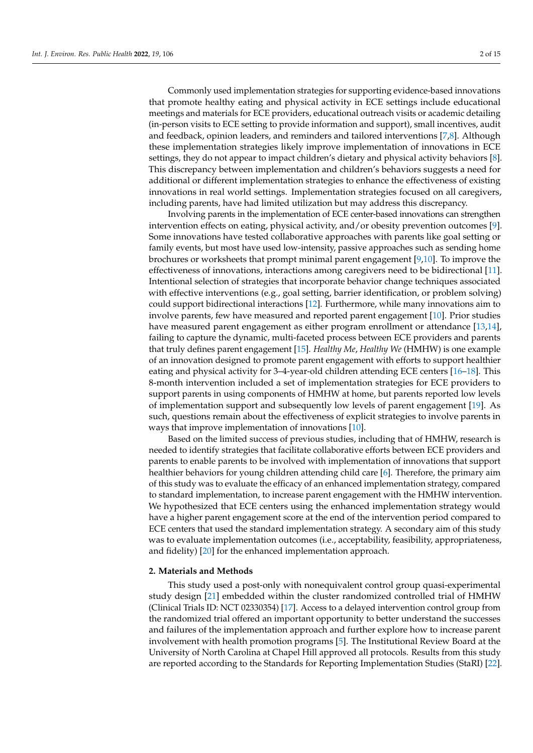Commonly used implementation strategies for supporting evidence-based innovations that promote healthy eating and physical activity in ECE settings include educational meetings and materials for ECE providers, educational outreach visits or academic detailing (in-person visits to ECE setting to provide information and support), small incentives, audit and feedback, opinion leaders, and reminders and tailored interventions [\[7,](#page-14-6)[8\]](#page-14-7). Although these implementation strategies likely improve implementation of innovations in ECE settings, they do not appear to impact children's dietary and physical activity behaviors [\[8\]](#page-14-7). This discrepancy between implementation and children's behaviors suggests a need for additional or different implementation strategies to enhance the effectiveness of existing innovations in real world settings. Implementation strategies focused on all caregivers, including parents, have had limited utilization but may address this discrepancy.

Involving parents in the implementation of ECE center-based innovations can strengthen intervention effects on eating, physical activity, and/or obesity prevention outcomes [\[9\]](#page-14-8). Some innovations have tested collaborative approaches with parents like goal setting or family events, but most have used low-intensity, passive approaches such as sending home brochures or worksheets that prompt minimal parent engagement [\[9,](#page-14-8)[10\]](#page-15-0). To improve the effectiveness of innovations, interactions among caregivers need to be bidirectional [\[11\]](#page-15-1). Intentional selection of strategies that incorporate behavior change techniques associated with effective interventions (e.g., goal setting, barrier identification, or problem solving) could support bidirectional interactions [\[12\]](#page-15-2). Furthermore, while many innovations aim to involve parents, few have measured and reported parent engagement [\[10\]](#page-15-0). Prior studies have measured parent engagement as either program enrollment or attendance [\[13,](#page-15-3)[14\]](#page-15-4), failing to capture the dynamic, multi-faceted process between ECE providers and parents that truly defines parent engagement [\[15\]](#page-15-5). *Healthy Me*, *Healthy We* (HMHW) is one example of an innovation designed to promote parent engagement with efforts to support healthier eating and physical activity for 3–4-year-old children attending ECE centers [\[16](#page-15-6)[–18\]](#page-15-7). This 8-month intervention included a set of implementation strategies for ECE providers to support parents in using components of HMHW at home, but parents reported low levels of implementation support and subsequently low levels of parent engagement [\[19\]](#page-15-8). As such, questions remain about the effectiveness of explicit strategies to involve parents in ways that improve implementation of innovations [\[10\]](#page-15-0).

Based on the limited success of previous studies, including that of HMHW, research is needed to identify strategies that facilitate collaborative efforts between ECE providers and parents to enable parents to be involved with implementation of innovations that support healthier behaviors for young children attending child care [\[6\]](#page-14-5). Therefore, the primary aim of this study was to evaluate the efficacy of an enhanced implementation strategy, compared to standard implementation, to increase parent engagement with the HMHW intervention. We hypothesized that ECE centers using the enhanced implementation strategy would have a higher parent engagement score at the end of the intervention period compared to ECE centers that used the standard implementation strategy. A secondary aim of this study was to evaluate implementation outcomes (i.e., acceptability, feasibility, appropriateness, and fidelity) [\[20\]](#page-15-9) for the enhanced implementation approach.

#### **2. Materials and Methods**

This study used a post-only with nonequivalent control group quasi-experimental study design [\[21\]](#page-15-10) embedded within the cluster randomized controlled trial of HMHW (Clinical Trials ID: NCT 02330354) [\[17\]](#page-15-11). Access to a delayed intervention control group from the randomized trial offered an important opportunity to better understand the successes and failures of the implementation approach and further explore how to increase parent involvement with health promotion programs [\[5\]](#page-14-4). The Institutional Review Board at the University of North Carolina at Chapel Hill approved all protocols. Results from this study are reported according to the Standards for Reporting Implementation Studies (StaRI) [\[22\]](#page-15-12).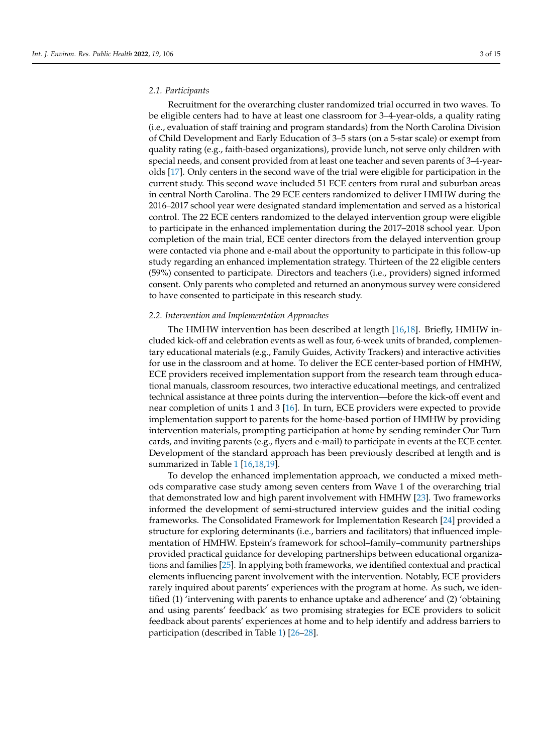#### *2.1. Participants*

Recruitment for the overarching cluster randomized trial occurred in two waves. To be eligible centers had to have at least one classroom for 3–4-year-olds, a quality rating (i.e., evaluation of staff training and program standards) from the North Carolina Division of Child Development and Early Education of 3–5 stars (on a 5-star scale) or exempt from quality rating (e.g., faith-based organizations), provide lunch, not serve only children with special needs, and consent provided from at least one teacher and seven parents of 3–4-yearolds [\[17\]](#page-15-11). Only centers in the second wave of the trial were eligible for participation in the current study. This second wave included 51 ECE centers from rural and suburban areas in central North Carolina. The 29 ECE centers randomized to deliver HMHW during the 2016–2017 school year were designated standard implementation and served as a historical control. The 22 ECE centers randomized to the delayed intervention group were eligible to participate in the enhanced implementation during the 2017–2018 school year. Upon completion of the main trial, ECE center directors from the delayed intervention group were contacted via phone and e-mail about the opportunity to participate in this follow-up study regarding an enhanced implementation strategy. Thirteen of the 22 eligible centers (59%) consented to participate. Directors and teachers (i.e., providers) signed informed consent. Only parents who completed and returned an anonymous survey were considered to have consented to participate in this research study.

#### *2.2. Intervention and Implementation Approaches*

The HMHW intervention has been described at length [\[16](#page-15-6)[,18\]](#page-15-7). Briefly, HMHW included kick-off and celebration events as well as four, 6-week units of branded, complementary educational materials (e.g., Family Guides, Activity Trackers) and interactive activities for use in the classroom and at home. To deliver the ECE center-based portion of HMHW, ECE providers received implementation support from the research team through educational manuals, classroom resources, two interactive educational meetings, and centralized technical assistance at three points during the intervention—before the kick-off event and near completion of units 1 and 3 [\[16\]](#page-15-6). In turn, ECE providers were expected to provide implementation support to parents for the home-based portion of HMHW by providing intervention materials, prompting participation at home by sending reminder Our Turn cards, and inviting parents (e.g., flyers and e-mail) to participate in events at the ECE center. Development of the standard approach has been previously described at length and is summarized in Table [1](#page-5-0) [\[16,](#page-15-6)[18,](#page-15-7)[19\]](#page-15-8).

To develop the enhanced implementation approach, we conducted a mixed methods comparative case study among seven centers from Wave 1 of the overarching trial that demonstrated low and high parent involvement with HMHW [\[23\]](#page-15-13). Two frameworks informed the development of semi-structured interview guides and the initial coding frameworks. The Consolidated Framework for Implementation Research [\[24\]](#page-15-14) provided a structure for exploring determinants (i.e., barriers and facilitators) that influenced implementation of HMHW. Epstein's framework for school–family–community partnerships provided practical guidance for developing partnerships between educational organizations and families [\[25\]](#page-15-15). In applying both frameworks, we identified contextual and practical elements influencing parent involvement with the intervention. Notably, ECE providers rarely inquired about parents' experiences with the program at home. As such, we identified (1) 'intervening with parents to enhance uptake and adherence' and (2) 'obtaining and using parents' feedback' as two promising strategies for ECE providers to solicit feedback about parents' experiences at home and to help identify and address barriers to participation (described in Table [1\)](#page-5-0) [\[26–](#page-15-16)[28\]](#page-15-17).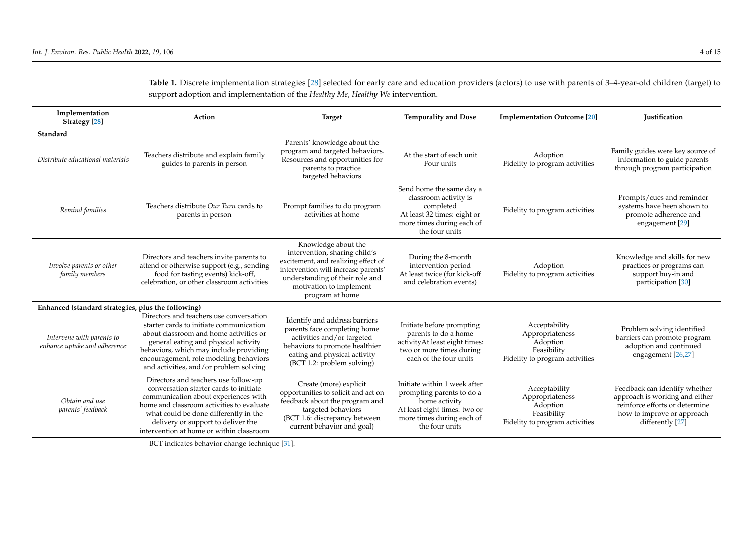| Implementation<br>Strategy [28]                           | Action                                                                                                                                                                                                                                                                                             | <b>Target</b>                                                                                                                                                                                                       | <b>Temporality and Dose</b>                                                                                                                               | <b>Implementation Outcome [20]</b>                                                            | Justification                                                                                                                                       |
|-----------------------------------------------------------|----------------------------------------------------------------------------------------------------------------------------------------------------------------------------------------------------------------------------------------------------------------------------------------------------|---------------------------------------------------------------------------------------------------------------------------------------------------------------------------------------------------------------------|-----------------------------------------------------------------------------------------------------------------------------------------------------------|-----------------------------------------------------------------------------------------------|-----------------------------------------------------------------------------------------------------------------------------------------------------|
| Standard                                                  |                                                                                                                                                                                                                                                                                                    |                                                                                                                                                                                                                     |                                                                                                                                                           |                                                                                               |                                                                                                                                                     |
| Distribute educational materials                          | Teachers distribute and explain family<br>guides to parents in person                                                                                                                                                                                                                              | Parents' knowledge about the<br>program and targeted behaviors.<br>Resources and opportunities for<br>parents to practice<br>targeted behaviors                                                                     | At the start of each unit<br>Four units                                                                                                                   | Adoption<br>Fidelity to program activities                                                    | Family guides were key source of<br>information to guide parents<br>through program participation                                                   |
| Remind families                                           | Teachers distribute Our Turn cards to<br>parents in person                                                                                                                                                                                                                                         | Prompt families to do program<br>activities at home                                                                                                                                                                 | Send home the same day a<br>classroom activity is<br>completed<br>At least 32 times: eight or<br>more times during each of<br>the four units              | Fidelity to program activities                                                                | Prompts/cues and reminder<br>systems have been shown to<br>promote adherence and<br>engagement [29]                                                 |
| Involve parents or other<br>family members                | Directors and teachers invite parents to<br>attend or otherwise support (e.g., sending<br>food for tasting events) kick-off,<br>celebration, or other classroom activities                                                                                                                         | Knowledge about the<br>intervention, sharing child's<br>excitement, and realizing effect of<br>intervention will increase parents'<br>understanding of their role and<br>motivation to implement<br>program at home | During the 8-month<br>intervention period<br>At least twice (for kick-off<br>and celebration events)                                                      | Adoption<br>Fidelity to program activities                                                    | Knowledge and skills for new<br>practices or programs can<br>support buy-in and<br>participation [30]                                               |
| Enhanced (standard strategies, plus the following)        |                                                                                                                                                                                                                                                                                                    |                                                                                                                                                                                                                     |                                                                                                                                                           |                                                                                               |                                                                                                                                                     |
| Intervene with parents to<br>enhance uptake and adherence | Directors and teachers use conversation<br>starter cards to initiate communication<br>about classroom and home activities or<br>general eating and physical activity<br>behaviors, which may include providing<br>encouragement, role modeling behaviors<br>and activities, and/or problem solving | Identify and address barriers<br>parents face completing home<br>activities and/or targeted<br>behaviors to promote healthier<br>eating and physical activity<br>(BCT 1.2: problem solving)                         | Initiate before prompting<br>parents to do a home<br>activityAt least eight times:<br>two or more times during<br>each of the four units                  | Acceptability<br>Appropriateness<br>Adoption<br>Feasibility<br>Fidelity to program activities | Problem solving identified<br>barriers can promote program<br>adoption and continued<br>engagement [26,27]                                          |
| Obtain and use<br>parents' feedback                       | Directors and teachers use follow-up<br>conversation starter cards to initiate<br>communication about experiences with<br>home and classroom activities to evaluate<br>what could be done differently in the<br>delivery or support to deliver the<br>intervention at home or within classroom     | Create (more) explicit<br>opportunities to solicit and act on<br>feedback about the program and<br>targeted behaviors<br>(BCT 1.6: discrepancy between<br>current behavior and goal)                                | Initiate within 1 week after<br>prompting parents to do a<br>home activity<br>At least eight times: two or<br>more times during each of<br>the four units | Acceptability<br>Appropriateness<br>Adoption<br>Feasibility<br>Fidelity to program activities | Feedback can identify whether<br>approach is working and either<br>reinforce efforts or determine<br>how to improve or approach<br>differently [27] |

**Table 1.** Discrete implementation strategies [\[28\]](#page-15-18) selected for early care and education providers (actors) to use with parents of 3–4-year-old children (target) to support adoption and implementation of the *Healthy Me*, *Healthy We* intervention.

<span id="page-5-0"></span>BCT indicates behavior change technique [\[31\]](#page-15-24).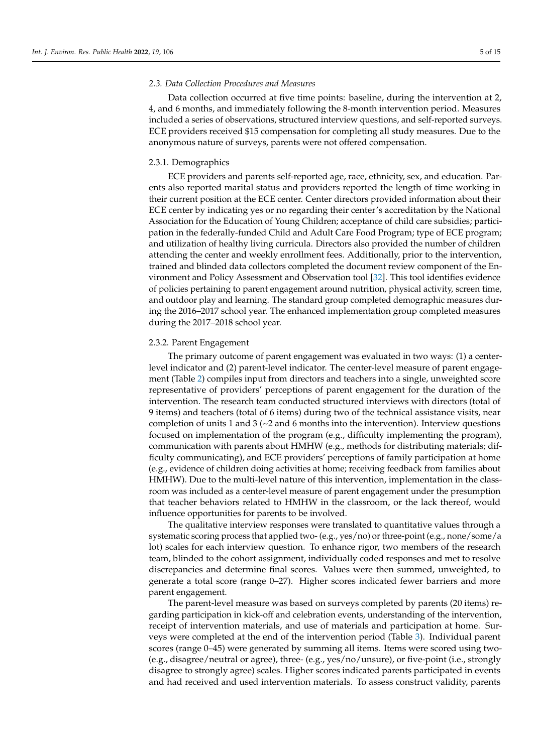#### *2.3. Data Collection Procedures and Measures*

Data collection occurred at five time points: baseline, during the intervention at 2, 4, and 6 months, and immediately following the 8-month intervention period. Measures included a series of observations, structured interview questions, and self-reported surveys. ECE providers received \$15 compensation for completing all study measures. Due to the anonymous nature of surveys, parents were not offered compensation.

#### 2.3.1. Demographics

ECE providers and parents self-reported age, race, ethnicity, sex, and education. Parents also reported marital status and providers reported the length of time working in their current position at the ECE center. Center directors provided information about their ECE center by indicating yes or no regarding their center's accreditation by the National Association for the Education of Young Children; acceptance of child care subsidies; participation in the federally-funded Child and Adult Care Food Program; type of ECE program; and utilization of healthy living curricula. Directors also provided the number of children attending the center and weekly enrollment fees. Additionally, prior to the intervention, trained and blinded data collectors completed the document review component of the Environment and Policy Assessment and Observation tool [\[32\]](#page-15-25). This tool identifies evidence of policies pertaining to parent engagement around nutrition, physical activity, screen time, and outdoor play and learning. The standard group completed demographic measures during the 2016–2017 school year. The enhanced implementation group completed measures during the 2017–2018 school year.

#### 2.3.2. Parent Engagement

The primary outcome of parent engagement was evaluated in two ways: (1) a centerlevel indicator and (2) parent-level indicator. The center-level measure of parent engagement (Table [2\)](#page-7-0) compiles input from directors and teachers into a single, unweighted score representative of providers' perceptions of parent engagement for the duration of the intervention. The research team conducted structured interviews with directors (total of 9 items) and teachers (total of 6 items) during two of the technical assistance visits, near completion of units 1 and 3 ( $\sim$ 2 and 6 months into the intervention). Interview questions focused on implementation of the program (e.g., difficulty implementing the program), communication with parents about HMHW (e.g., methods for distributing materials; difficulty communicating), and ECE providers' perceptions of family participation at home (e.g., evidence of children doing activities at home; receiving feedback from families about HMHW). Due to the multi-level nature of this intervention, implementation in the classroom was included as a center-level measure of parent engagement under the presumption that teacher behaviors related to HMHW in the classroom, or the lack thereof, would influence opportunities for parents to be involved.

The qualitative interview responses were translated to quantitative values through a systematic scoring process that applied two- (e.g., yes/no) or three-point (e.g., none/some/a lot) scales for each interview question. To enhance rigor, two members of the research team, blinded to the cohort assignment, individually coded responses and met to resolve discrepancies and determine final scores. Values were then summed, unweighted, to generate a total score (range 0–27). Higher scores indicated fewer barriers and more parent engagement.

The parent-level measure was based on surveys completed by parents (20 items) regarding participation in kick-off and celebration events, understanding of the intervention, receipt of intervention materials, and use of materials and participation at home. Surveys were completed at the end of the intervention period (Table [3\)](#page-8-0). Individual parent scores (range 0–45) were generated by summing all items. Items were scored using two- (e.g., disagree/neutral or agree), three- (e.g., yes/no/unsure), or five-point (i.e., strongly disagree to strongly agree) scales. Higher scores indicated parents participated in events and had received and used intervention materials. To assess construct validity, parents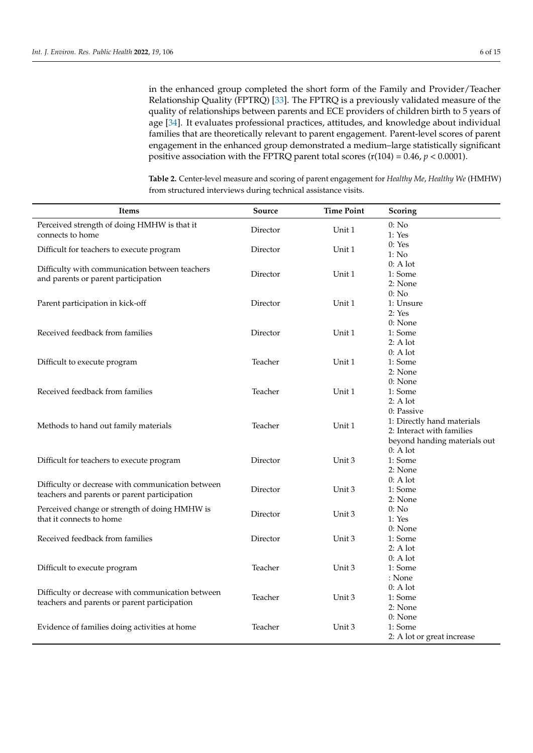in the enhanced group completed the short form of the Family and Provider/Teacher Relationship Quality (FPTRQ) [\[33\]](#page-16-0). The FPTRQ is a previously validated measure of the quality of relationships between parents and ECE providers of children birth to 5 years of age [\[34\]](#page-16-1). It evaluates professional practices, attitudes, and knowledge about individual families that are theoretically relevant to parent engagement. Parent-level scores of parent engagement in the enhanced group demonstrated a medium–large statistically significant positive association with the FPTRQ parent total scores  $(r(104) = 0.46, p < 0.0001)$ .

<span id="page-7-0"></span>

| <b>Table 2.</b> Center-level measure and scoring of parent engagement for Healthy Me, Healthy We (HMHW) |
|---------------------------------------------------------------------------------------------------------|
| from structured interviews during technical assistance visits.                                          |

| Items                                                                                             | Source   | <b>Time Point</b> | Scoring                                                                                               |
|---------------------------------------------------------------------------------------------------|----------|-------------------|-------------------------------------------------------------------------------------------------------|
| Perceived strength of doing HMHW is that it<br>connects to home                                   | Director | Unit 1            | 0: No<br>1: Yes                                                                                       |
| Difficult for teachers to execute program                                                         | Director | Unit 1            | 0: Yes<br>1: No                                                                                       |
| Difficulty with communication between teachers<br>and parents or parent participation             | Director | Unit 1            | 0: A lot<br>1: Some<br>2: None                                                                        |
| Parent participation in kick-off                                                                  | Director | Unit 1            | 0: No<br>1: Unsure<br>2: Yes                                                                          |
| Received feedback from families                                                                   | Director | Unit 1            | 0: None<br>1: Some<br>2: A lot                                                                        |
| Difficult to execute program                                                                      | Teacher  | Unit 1            | 0: A lot<br>1: Some<br>2: None                                                                        |
| Received feedback from families                                                                   | Teacher  | Unit 1            | 0: None<br>1: Some<br>2: A lot                                                                        |
| Methods to hand out family materials                                                              | Teacher  | Unit 1            | 0: Passive<br>1: Directly hand materials<br>2: Interact with families<br>beyond handing materials out |
| Difficult for teachers to execute program                                                         | Director | Unit 3            | 0: A lot<br>1: Some<br>2: None                                                                        |
| Difficulty or decrease with communication between<br>teachers and parents or parent participation | Director | Unit 3            | 0: A lot<br>1: Some<br>2: None                                                                        |
| Perceived change or strength of doing HMHW is<br>that it connects to home                         | Director | Unit 3            | 0: No<br>1: Yes                                                                                       |
| Received feedback from families                                                                   | Director | Unit 3            | 0: None<br>1: Some<br>2: A lot                                                                        |
| Difficult to execute program                                                                      | Teacher  | Unit 3            | 0: A lot<br>1: Some<br>: None                                                                         |
| Difficulty or decrease with communication between<br>teachers and parents or parent participation | Teacher  | Unit 3            | 0: A lot<br>1: Some<br>2: None                                                                        |
| Evidence of families doing activities at home                                                     | Teacher  | Unit 3            | 0: None<br>1: Some<br>2: A lot or great increase                                                      |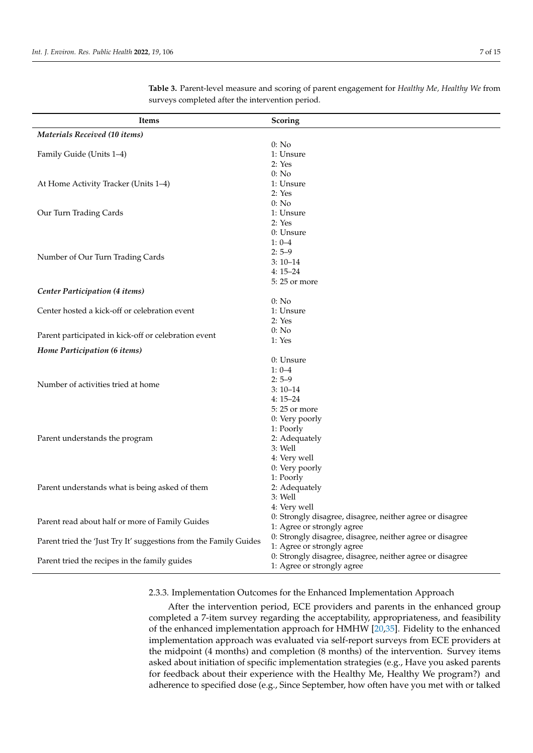| <b>Items</b>                                                      | Scoring                                                   |
|-------------------------------------------------------------------|-----------------------------------------------------------|
| <b>Materials Received (10 items)</b>                              |                                                           |
|                                                                   | 0: No                                                     |
| Family Guide (Units 1-4)                                          | 1: Unsure                                                 |
|                                                                   | 2: Yes                                                    |
|                                                                   | 0: No                                                     |
| At Home Activity Tracker (Units 1–4)                              | 1: Unsure                                                 |
|                                                                   | 2: Yes                                                    |
|                                                                   | 0: No                                                     |
| Our Turn Trading Cards                                            | 1: Unsure                                                 |
|                                                                   | 2: Yes                                                    |
|                                                                   | 0: Unsure                                                 |
|                                                                   | $1:0-4$                                                   |
| Number of Our Turn Trading Cards                                  | $2:5-9$                                                   |
|                                                                   | $3:10-14$                                                 |
|                                                                   | $4:15-24$                                                 |
|                                                                   | 5: 25 or more                                             |
| <b>Center Participation (4 items)</b>                             |                                                           |
|                                                                   | 0: No                                                     |
| Center hosted a kick-off or celebration event                     | 1: Unsure                                                 |
|                                                                   | 2: Yes                                                    |
| Parent participated in kick-off or celebration event              | 0: No                                                     |
|                                                                   | 1: Yes                                                    |
| Home Participation (6 items)                                      |                                                           |
|                                                                   | 0: Unsure                                                 |
|                                                                   | $1:0-4$                                                   |
| Number of activities tried at home                                | $2:5-9$                                                   |
|                                                                   | $3:10-14$                                                 |
|                                                                   | $4:15-24$                                                 |
|                                                                   | 5: 25 or more                                             |
|                                                                   | 0: Very poorly                                            |
|                                                                   | 1: Poorly                                                 |
| Parent understands the program                                    | 2: Adequately                                             |
|                                                                   | 3: Well                                                   |
|                                                                   | 4: Very well                                              |
|                                                                   | 0: Very poorly                                            |
|                                                                   | 1: Poorly                                                 |
| Parent understands what is being asked of them                    | 2: Adequately                                             |
|                                                                   | 3: Well                                                   |
|                                                                   | 4: Very well                                              |
| Parent read about half or more of Family Guides                   | 0: Strongly disagree, disagree, neither agree or disagree |
|                                                                   | 1: Agree or strongly agree                                |
| Parent tried the 'Just Try It' suggestions from the Family Guides | 0: Strongly disagree, disagree, neither agree or disagree |
|                                                                   | 1: Agree or strongly agree                                |
| Parent tried the recipes in the family guides                     | 0: Strongly disagree, disagree, neither agree or disagree |
|                                                                   | 1: Agree or strongly agree                                |

<span id="page-8-0"></span>**Table 3.** Parent-level measure and scoring of parent engagement for *Healthy Me, Healthy We* from surveys completed after the intervention period.

#### 2.3.3. Implementation Outcomes for the Enhanced Implementation Approach

After the intervention period, ECE providers and parents in the enhanced group completed a 7-item survey regarding the acceptability, appropriateness, and feasibility of the enhanced implementation approach for HMHW [\[20](#page-15-9)[,35\]](#page-16-2). Fidelity to the enhanced implementation approach was evaluated via self-report surveys from ECE providers at the midpoint (4 months) and completion (8 months) of the intervention. Survey items asked about initiation of specific implementation strategies (e.g., Have you asked parents for feedback about their experience with the Healthy Me, Healthy We program?) and adherence to specified dose (e.g., Since September, how often have you met with or talked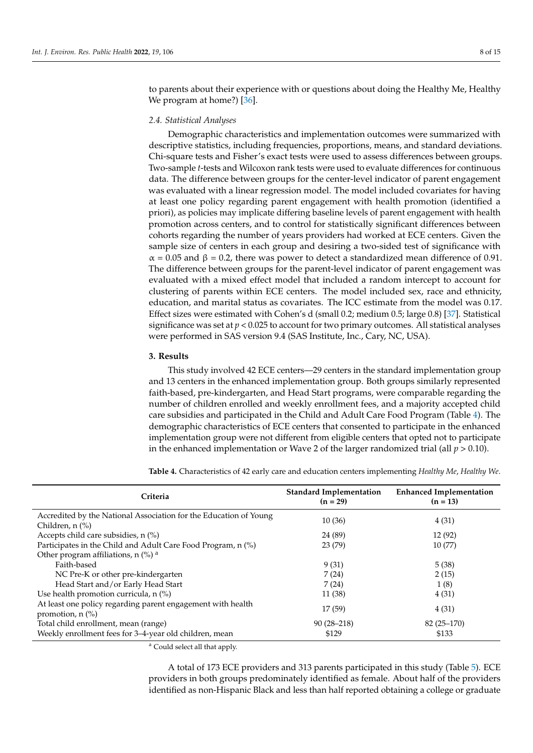to parents about their experience with or questions about doing the Healthy Me, Healthy We program at home?) [\[36\]](#page-16-3).

#### *2.4. Statistical Analyses*

Demographic characteristics and implementation outcomes were summarized with descriptive statistics, including frequencies, proportions, means, and standard deviations. Chi-square tests and Fisher's exact tests were used to assess differences between groups. Two-sample *t*-tests and Wilcoxon rank tests were used to evaluate differences for continuous data. The difference between groups for the center-level indicator of parent engagement was evaluated with a linear regression model. The model included covariates for having at least one policy regarding parent engagement with health promotion (identified a priori), as policies may implicate differing baseline levels of parent engagement with health promotion across centers, and to control for statistically significant differences between cohorts regarding the number of years providers had worked at ECE centers. Given the sample size of centers in each group and desiring a two-sided test of significance with  $\alpha$  = 0.05 and  $\beta$  = 0.2, there was power to detect a standardized mean difference of 0.91. The difference between groups for the parent-level indicator of parent engagement was evaluated with a mixed effect model that included a random intercept to account for clustering of parents within ECE centers. The model included sex, race and ethnicity, education, and marital status as covariates. The ICC estimate from the model was 0.17. Effect sizes were estimated with Cohen's d (small 0.2; medium 0.5; large 0.8) [\[37\]](#page-16-4). Statistical significance was set at  $p < 0.025$  to account for two primary outcomes. All statistical analyses were performed in SAS version 9.4 (SAS Institute, Inc., Cary, NC, USA).

#### **3. Results**

This study involved 42 ECE centers—29 centers in the standard implementation group and 13 centers in the enhanced implementation group. Both groups similarly represented faith-based, pre-kindergarten, and Head Start programs, were comparable regarding the number of children enrolled and weekly enrollment fees, and a majority accepted child care subsidies and participated in the Child and Adult Care Food Program (Table [4\)](#page-9-0). The demographic characteristics of ECE centers that consented to participate in the enhanced implementation group were not different from eligible centers that opted not to participate in the enhanced implementation or Wave 2 of the larger randomized trial (all  $p > 0.10$ ).

| Criteria                                                                          | <b>Standard Implementation</b><br>$(n = 29)$ | <b>Enhanced Implementation</b><br>$(n = 13)$ |
|-----------------------------------------------------------------------------------|----------------------------------------------|----------------------------------------------|
| Accredited by the National Association for the Education of Young                 | 10(36)                                       | 4(31)                                        |
| Children, $n$ $%$                                                                 |                                              |                                              |
| Accepts child care subsidies, n (%)                                               | 24 (89)                                      | 12 (92)                                      |
| Participates in the Child and Adult Care Food Program, n (%)                      | 23(79)                                       | 10(77)                                       |
| Other program affiliations, n $(\%)$ <sup>a</sup>                                 |                                              |                                              |
| Faith-based                                                                       | 9(31)                                        | 5(38)                                        |
| NC Pre-K or other pre-kindergarten                                                | 7(24)                                        | 2(15)                                        |
| Head Start and/or Early Head Start                                                | 7(24)                                        | 1(8)                                         |
| Use health promotion curricula, $n$ (%)                                           | 11 (38)                                      | 4(31)                                        |
| At least one policy regarding parent engagement with health<br>promotion, $n$ (%) | 17(59)                                       | 4(31)                                        |
| Total child enrollment, mean (range)                                              | $90(28 - 218)$                               | $82(25-170)$                                 |
| Weekly enrollment fees for 3-4-year old children, mean                            | \$129                                        | \$133                                        |

<span id="page-9-0"></span>**Table 4.** Characteristics of 42 early care and education centers implementing *Healthy Me*, *Healthy We*.

<sup>a</sup> Could select all that apply.

A total of 173 ECE providers and 313 parents participated in this study (Table [5\)](#page-10-0). ECE providers in both groups predominately identified as female. About half of the providers identified as non-Hispanic Black and less than half reported obtaining a college or graduate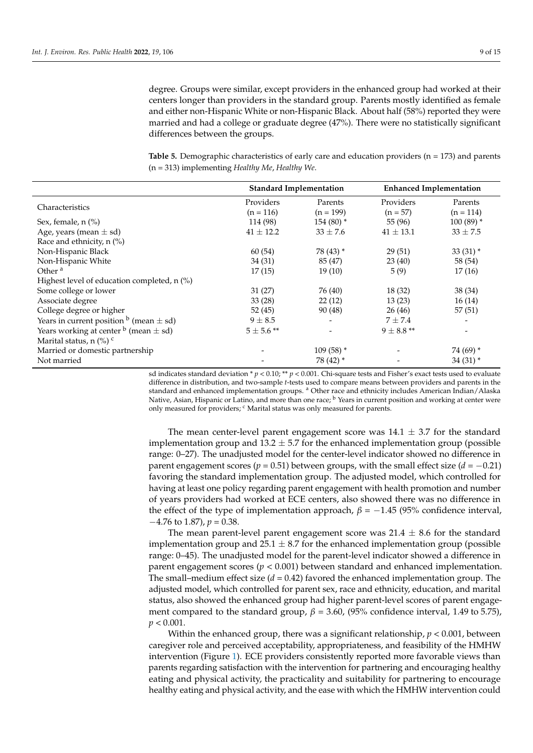degree. Groups were similar, except providers in the enhanced group had worked at their centers longer than providers in the standard group. Parents mostly identified as female and either non-Hispanic White or non-Hispanic Black. About half (58%) reported they were married and had a college or graduate degree (47%). There were no statistically significant differences between the groups.

<span id="page-10-0"></span>**Table 5.** Demographic characteristics of early care and education providers (n = 173) and parents (n = 313) implementing *Healthy Me*, *Healthy We*.

|                                                       | <b>Standard Implementation</b><br><b>Enhanced Implementation</b> |                        |                         |                          |
|-------------------------------------------------------|------------------------------------------------------------------|------------------------|-------------------------|--------------------------|
| Characteristics                                       | Providers<br>$(n = 116)$                                         | Parents<br>$(n = 199)$ | Providers<br>$(n = 57)$ | Parents<br>$(n = 114)$   |
| Sex, female, $n$ $\left(\% \right)$                   | 114 (98)                                                         | 154 $(80)$ *           | 55 (96)                 | $100(89)$ *              |
| Age, years (mean $\pm$ sd)                            | $41 + 12.2$                                                      | $33 \pm 7.6$           | $41 \pm 13.1$           | $33 \pm 7.5$             |
| Race and ethnicity, $n$ (%)                           |                                                                  |                        |                         |                          |
| Non-Hispanic Black                                    | 60(54)                                                           | $78(43)$ *             | 29(51)                  | 33 $(31)$ *              |
| Non-Hispanic White                                    | 34(31)                                                           | 85 (47)                | 23(40)                  | 58 (54)                  |
| Other <sup>a</sup>                                    | 17(15)                                                           | 19(10)                 | 5(9)                    | 17(16)                   |
| Highest level of education completed, n (%)           |                                                                  |                        |                         |                          |
| Some college or lower                                 | 31(27)                                                           | 76 (40)                | 18 (32)                 | 38 (34)                  |
| Associate degree                                      | 33(28)                                                           | 22(12)                 | 13(23)                  | 16(14)                   |
| College degree or higher                              | 52(45)                                                           | 90 (48)                | 26(46)                  | 57(51)                   |
| Years in current position $\flat$ (mean $\pm$ sd)     | $9 \pm 8.5$                                                      |                        | $7 \pm 7.4$             |                          |
| Years working at center $\frac{b}{c}$ (mean $\pm$ sd) | $5 \pm 5.6$ **                                                   |                        | $9 \pm 8.8$ **          | $\overline{\phantom{0}}$ |
| Marital status, n $(\%)$ <sup>c</sup>                 |                                                                  |                        |                         |                          |
| Married or domestic partnership                       |                                                                  | $109(58)$ *            |                         | 74 $(69)$ *              |
| Not married                                           |                                                                  | 78 (42) *              |                         | 34 $(31)$ *              |

sd indicates standard deviation \* *p* < 0.10; \*\* *p* < 0.001. Chi-square tests and Fisher's exact tests used to evaluate difference in distribution, and two-sample *t*-tests used to compare means between providers and parents in the standard and enhanced implementation groups. <sup>a</sup> Other race and ethnicity includes American Indian/Alaska Native, Asian, Hispanic or Latino, and more than one race; <sup>b</sup> Years in current position and working at center were only measured for providers; <sup>c</sup> Marital status was only measured for parents.

The mean center-level parent engagement score was  $14.1 \pm 3.7$  for the standard implementation group and  $13.2 \pm 5.7$  for the enhanced implementation group (possible range: 0–27). The unadjusted model for the center-level indicator showed no difference in parent engagement scores ( $p = 0.51$ ) between groups, with the small effect size ( $d = -0.21$ ) favoring the standard implementation group. The adjusted model, which controlled for having at least one policy regarding parent engagement with health promotion and number of years providers had worked at ECE centers, also showed there was no difference in the effect of the type of implementation approach,  $\beta = -1.45$  (95% confidence interval, −4.76 to 1.87), *p* = 0.38.

The mean parent-level parent engagement score was  $21.4 \pm 8.6$  for the standard implementation group and  $25.1 \pm 8.7$  for the enhanced implementation group (possible range: 0–45). The unadjusted model for the parent-level indicator showed a difference in parent engagement scores (*p* < 0.001) between standard and enhanced implementation. The small–medium effect size (*d* = 0.42) favored the enhanced implementation group. The adjusted model, which controlled for parent sex, race and ethnicity, education, and marital status, also showed the enhanced group had higher parent-level scores of parent engagement compared to the standard group,  $\beta$  = 3.60, (95% confidence interval, 1.49 to 5.75),  $p < 0.001$ .

Within the enhanced group, there was a significant relationship, *p* < 0.001, between caregiver role and perceived acceptability, appropriateness, and feasibility of the HMHW intervention (Figure [1\)](#page-11-0). ECE providers consistently reported more favorable views than parents regarding satisfaction with the intervention for partnering and encouraging healthy eating and physical activity, the practicality and suitability for partnering to encourage healthy eating and physical activity, and the ease with which the HMHW intervention could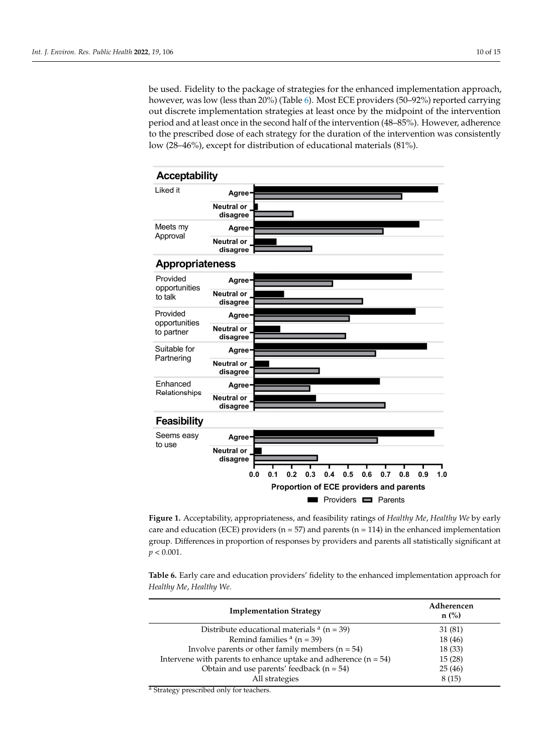be used. Fidelity to the package of strategies for the enhanced implementation approach, however, was low (less than 20%) (Table [6\)](#page-11-1). Most ECE providers (50–92%) reported carrying out discrete implementation strategies at least once by the midpoint of the intervention period and at least once in the second half of the intervention (48–85%). However, adherence to the prescribed dose of each strategy for the duration of the intervention was consistently low (28–46%), except for distribution of educational materials (81%).

<span id="page-11-0"></span>

**Figure 1.** Acceptability, appropriateness, and feasibility ratings of *Healthy Me, Healthy We* by early care and education (ECE) providers ( $n = 57$ ) and parents ( $n = 114$ ) in the enhanced implementation equation of responses by providers and parents all statistically significant at group. Differences in proportion of responses by providers and parents all statistically significant at *p* < 0.001.

<span id="page-11-1"></span>**Table 6.** Early care and education providers' fidelity to the enhanced implementation approach for *Healthy Me*, *Healthy We*.

| <b>Implementation Strategy</b>                                      | Adherencen<br>$n$ (%) |
|---------------------------------------------------------------------|-----------------------|
| Distribute educational materials $a(n = 39)$                        | 31(81)                |
| Remind families $a(n = 39)$                                         | 18 (46)               |
| Involve parents or other family members $(n = 54)$                  | 18(33)                |
| Intervene with parents to enhance uptake and adherence ( $n = 54$ ) | 15(28)                |
| Obtain and use parents' feedback ( $n = 54$ )                       | 25(46)                |
| All strategies                                                      | 8(15)                 |

<sup>a</sup> Strategy prescribed only for teachers.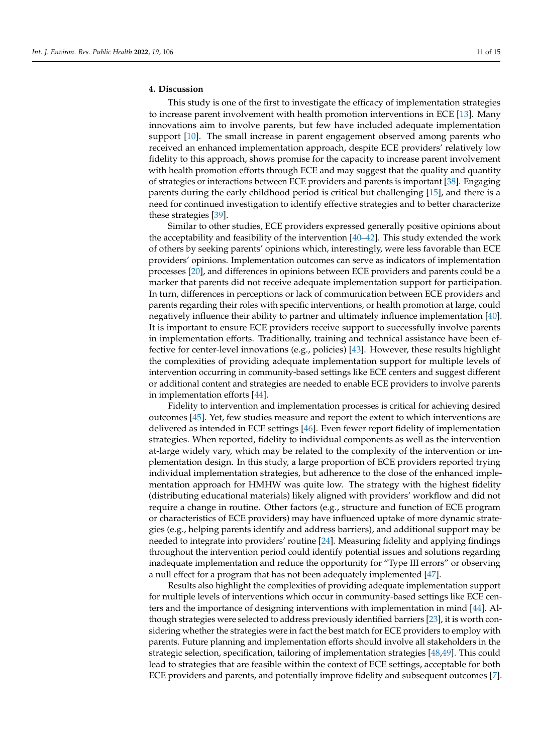#### **4. Discussion**

This study is one of the first to investigate the efficacy of implementation strategies to increase parent involvement with health promotion interventions in ECE [\[13\]](#page-15-3). Many innovations aim to involve parents, but few have included adequate implementation support [\[10\]](#page-15-0). The small increase in parent engagement observed among parents who received an enhanced implementation approach, despite ECE providers' relatively low fidelity to this approach, shows promise for the capacity to increase parent involvement with health promotion efforts through ECE and may suggest that the quality and quantity of strategies or interactions between ECE providers and parents is important [\[38\]](#page-16-5). Engaging parents during the early childhood period is critical but challenging [\[15\]](#page-15-5), and there is a need for continued investigation to identify effective strategies and to better characterize these strategies [\[39\]](#page-16-6).

Similar to other studies, ECE providers expressed generally positive opinions about the acceptability and feasibility of the intervention [\[40–](#page-16-7)[42\]](#page-16-8). This study extended the work of others by seeking parents' opinions which, interestingly, were less favorable than ECE providers' opinions. Implementation outcomes can serve as indicators of implementation processes [\[20\]](#page-15-9), and differences in opinions between ECE providers and parents could be a marker that parents did not receive adequate implementation support for participation. In turn, differences in perceptions or lack of communication between ECE providers and parents regarding their roles with specific interventions, or health promotion at large, could negatively influence their ability to partner and ultimately influence implementation [\[40\]](#page-16-7). It is important to ensure ECE providers receive support to successfully involve parents in implementation efforts. Traditionally, training and technical assistance have been effective for center-level innovations (e.g., policies) [\[43\]](#page-16-9). However, these results highlight the complexities of providing adequate implementation support for multiple levels of intervention occurring in community-based settings like ECE centers and suggest different or additional content and strategies are needed to enable ECE providers to involve parents in implementation efforts [\[44\]](#page-16-10).

Fidelity to intervention and implementation processes is critical for achieving desired outcomes [\[45\]](#page-16-11). Yet, few studies measure and report the extent to which interventions are delivered as intended in ECE settings [\[46\]](#page-16-12). Even fewer report fidelity of implementation strategies. When reported, fidelity to individual components as well as the intervention at-large widely vary, which may be related to the complexity of the intervention or implementation design. In this study, a large proportion of ECE providers reported trying individual implementation strategies, but adherence to the dose of the enhanced implementation approach for HMHW was quite low. The strategy with the highest fidelity (distributing educational materials) likely aligned with providers' workflow and did not require a change in routine. Other factors (e.g., structure and function of ECE program or characteristics of ECE providers) may have influenced uptake of more dynamic strategies (e.g., helping parents identify and address barriers), and additional support may be needed to integrate into providers' routine [\[24\]](#page-15-14). Measuring fidelity and applying findings throughout the intervention period could identify potential issues and solutions regarding inadequate implementation and reduce the opportunity for "Type III errors" or observing a null effect for a program that has not been adequately implemented [\[47\]](#page-16-13).

Results also highlight the complexities of providing adequate implementation support for multiple levels of interventions which occur in community-based settings like ECE centers and the importance of designing interventions with implementation in mind [\[44\]](#page-16-10). Although strategies were selected to address previously identified barriers [\[23\]](#page-15-13), it is worth considering whether the strategies were in fact the best match for ECE providers to employ with parents. Future planning and implementation efforts should involve all stakeholders in the strategic selection, specification, tailoring of implementation strategies [\[48,](#page-16-14)[49\]](#page-16-15). This could lead to strategies that are feasible within the context of ECE settings, acceptable for both ECE providers and parents, and potentially improve fidelity and subsequent outcomes [\[7\]](#page-14-6).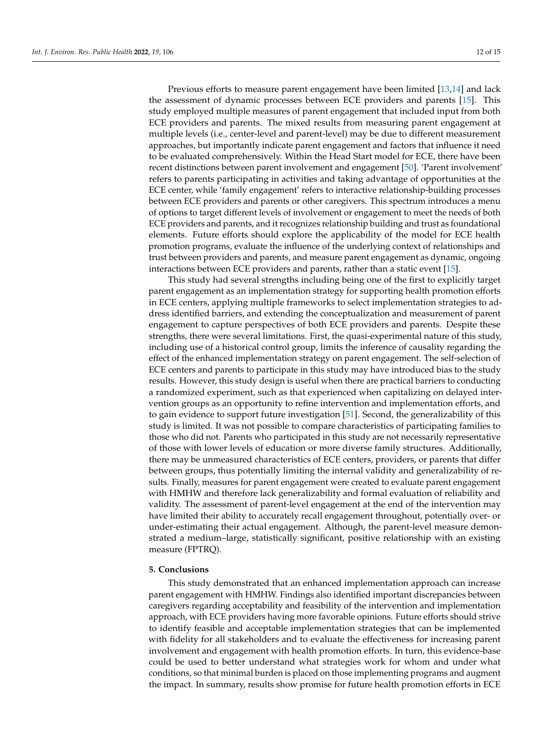Previous efforts to measure parent engagement have been limited [\[13](#page-15-3)[,14\]](#page-15-4) and lack the assessment of dynamic processes between ECE providers and parents [\[15\]](#page-15-5). This study employed multiple measures of parent engagement that included input from both ECE providers and parents. The mixed results from measuring parent engagement at multiple levels (i.e., center-level and parent-level) may be due to different measurement approaches, but importantly indicate parent engagement and factors that influence it need to be evaluated comprehensively. Within the Head Start model for ECE, there have been recent distinctions between parent involvement and engagement [\[50\]](#page-16-16). 'Parent involvement' refers to parents participating in activities and taking advantage of opportunities at the ECE center, while 'family engagement' refers to interactive relationship-building processes between ECE providers and parents or other caregivers. This spectrum introduces a menu of options to target different levels of involvement or engagement to meet the needs of both ECE providers and parents, and it recognizes relationship building and trust as foundational elements. Future efforts should explore the applicability of the model for ECE health promotion programs, evaluate the influence of the underlying context of relationships and trust between providers and parents, and measure parent engagement as dynamic, ongoing interactions between ECE providers and parents, rather than a static event [\[15\]](#page-15-5).

This study had several strengths including being one of the first to explicitly target parent engagement as an implementation strategy for supporting health promotion efforts in ECE centers, applying multiple frameworks to select implementation strategies to address identified barriers, and extending the conceptualization and measurement of parent engagement to capture perspectives of both ECE providers and parents. Despite these strengths, there were several limitations. First, the quasi-experimental nature of this study, including use of a historical control group, limits the inference of causality regarding the effect of the enhanced implementation strategy on parent engagement. The self-selection of ECE centers and parents to participate in this study may have introduced bias to the study results. However, this study design is useful when there are practical barriers to conducting a randomized experiment, such as that experienced when capitalizing on delayed intervention groups as an opportunity to refine intervention and implementation efforts, and to gain evidence to support future investigation [\[51\]](#page-16-17). Second, the generalizability of this study is limited. It was not possible to compare characteristics of participating families to those who did not. Parents who participated in this study are not necessarily representative of those with lower levels of education or more diverse family structures. Additionally, there may be unmeasured characteristics of ECE centers, providers, or parents that differ between groups, thus potentially limiting the internal validity and generalizability of results. Finally, measures for parent engagement were created to evaluate parent engagement with HMHW and therefore lack generalizability and formal evaluation of reliability and validity. The assessment of parent-level engagement at the end of the intervention may have limited their ability to accurately recall engagement throughout, potentially over- or under-estimating their actual engagement. Although, the parent-level measure demonstrated a medium–large, statistically significant, positive relationship with an existing measure (FPTRQ).

#### **5. Conclusions**

This study demonstrated that an enhanced implementation approach can increase parent engagement with HMHW. Findings also identified important discrepancies between caregivers regarding acceptability and feasibility of the intervention and implementation approach, with ECE providers having more favorable opinions. Future efforts should strive to identify feasible and acceptable implementation strategies that can be implemented with fidelity for all stakeholders and to evaluate the effectiveness for increasing parent involvement and engagement with health promotion efforts. In turn, this evidence-base could be used to better understand what strategies work for whom and under what conditions, so that minimal burden is placed on those implementing programs and augment the impact. In summary, results show promise for future health promotion efforts in ECE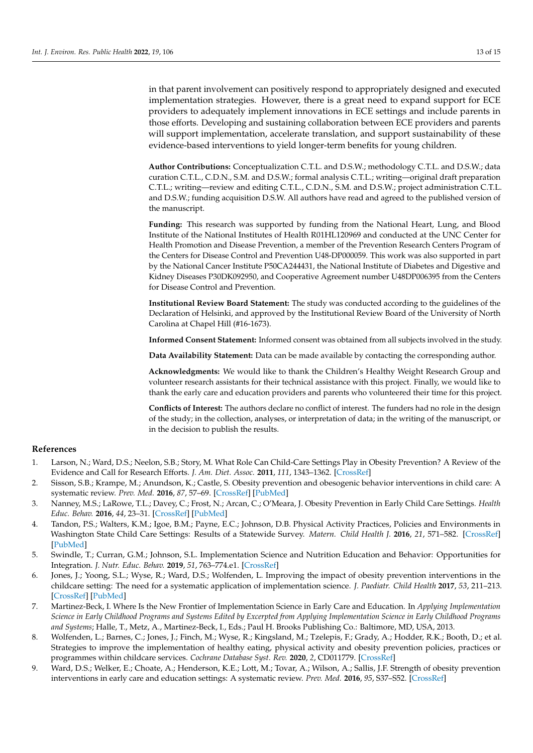in that parent involvement can positively respond to appropriately designed and executed implementation strategies. However, there is a great need to expand support for ECE providers to adequately implement innovations in ECE settings and include parents in those efforts. Developing and sustaining collaboration between ECE providers and parents will support implementation, accelerate translation, and support sustainability of these evidence-based interventions to yield longer-term benefits for young children.

**Author Contributions:** Conceptualization C.T.L. and D.S.W.; methodology C.T.L. and D.S.W.; data curation C.T.L., C.D.N., S.M. and D.S.W.; formal analysis C.T.L.; writing—original draft preparation C.T.L.; writing—review and editing C.T.L., C.D.N., S.M. and D.S.W.; project administration C.T.L. and D.S.W.; funding acquisition D.S.W. All authors have read and agreed to the published version of the manuscript.

**Funding:** This research was supported by funding from the National Heart, Lung, and Blood Institute of the National Institutes of Health R01HL120969 and conducted at the UNC Center for Health Promotion and Disease Prevention, a member of the Prevention Research Centers Program of the Centers for Disease Control and Prevention U48-DP000059. This work was also supported in part by the National Cancer Institute P50CA244431, the National Institute of Diabetes and Digestive and Kidney Diseases P30DK092950, and Cooperative Agreement number U48DP006395 from the Centers for Disease Control and Prevention.

**Institutional Review Board Statement:** The study was conducted according to the guidelines of the Declaration of Helsinki, and approved by the Institutional Review Board of the University of North Carolina at Chapel Hill (#16-1673).

**Informed Consent Statement:** Informed consent was obtained from all subjects involved in the study.

**Data Availability Statement:** Data can be made available by contacting the corresponding author.

**Acknowledgments:** We would like to thank the Children's Healthy Weight Research Group and volunteer research assistants for their technical assistance with this project. Finally, we would like to thank the early care and education providers and parents who volunteered their time for this project.

**Conflicts of Interest:** The authors declare no conflict of interest. The funders had no role in the design of the study; in the collection, analyses, or interpretation of data; in the writing of the manuscript, or in the decision to publish the results.

#### **References**

- <span id="page-14-0"></span>1. Larson, N.; Ward, D.S.; Neelon, S.B.; Story, M. What Role Can Child-Care Settings Play in Obesity Prevention? A Review of the Evidence and Call for Research Efforts. *J. Am. Diet. Assoc.* **2011**, *111*, 1343–1362. [\[CrossRef\]](http://doi.org/10.1016/j.jada.2011.06.007)
- <span id="page-14-1"></span>2. Sisson, S.B.; Krampe, M.; Anundson, K.; Castle, S. Obesity prevention and obesogenic behavior interventions in child care: A systematic review. *Prev. Med.* **2016**, *87*, 57–69. [\[CrossRef\]](http://doi.org/10.1016/j.ypmed.2016.02.016) [\[PubMed\]](http://www.ncbi.nlm.nih.gov/pubmed/26876631)
- <span id="page-14-2"></span>3. Nanney, M.S.; LaRowe, T.L.; Davey, C.; Frost, N.; Arcan, C.; O'Meara, J. Obesity Prevention in Early Child Care Settings. *Health Educ. Behav.* **2016**, *44*, 23–31. [\[CrossRef\]](http://doi.org/10.1177/1090198116643912) [\[PubMed\]](http://www.ncbi.nlm.nih.gov/pubmed/27198534)
- <span id="page-14-3"></span>4. Tandon, P.S.; Walters, K.M.; Igoe, B.M.; Payne, E.C.; Johnson, D.B. Physical Activity Practices, Policies and Environments in Washington State Child Care Settings: Results of a Statewide Survey. *Matern. Child Health J.* **2016**, *21*, 571–582. [\[CrossRef\]](http://doi.org/10.1007/s10995-016-2141-7) [\[PubMed\]](http://www.ncbi.nlm.nih.gov/pubmed/27449654)
- <span id="page-14-4"></span>5. Swindle, T.; Curran, G.M.; Johnson, S.L. Implementation Science and Nutrition Education and Behavior: Opportunities for Integration. *J. Nutr. Educ. Behav.* **2019**, *51*, 763–774.e1. [\[CrossRef\]](http://doi.org/10.1016/j.jneb.2019.03.001)
- <span id="page-14-5"></span>6. Jones, J.; Yoong, S.L.; Wyse, R.; Ward, D.S.; Wolfenden, L. Improving the impact of obesity prevention interventions in the childcare setting: The need for a systematic application of implementation science. *J. Paediatr. Child Health* **2017**, *53*, 211–213. [\[CrossRef\]](http://doi.org/10.1111/jpc.13464) [\[PubMed\]](http://www.ncbi.nlm.nih.gov/pubmed/28106322)
- <span id="page-14-6"></span>7. Martinez-Beck, I. Where Is the New Frontier of Implementation Science in Early Care and Education. In *Applying Implementation Science in Early Childhood Programs and Systems Edited by Excerpted from Applying Implementation Science in Early Childhood Programs and Systems*; Halle, T., Metz, A., Martinez-Beck, I., Eds.; Paul H. Brooks Publishing Co.: Baltimore, MD, USA, 2013.
- <span id="page-14-7"></span>8. Wolfenden, L.; Barnes, C.; Jones, J.; Finch, M.; Wyse, R.; Kingsland, M.; Tzelepis, F.; Grady, A.; Hodder, R.K.; Booth, D.; et al. Strategies to improve the implementation of healthy eating, physical activity and obesity prevention policies, practices or programmes within childcare services. *Cochrane Database Syst. Rev.* **2020**, *2*, CD011779. [\[CrossRef\]](http://doi.org/10.1002/14651858.CD011779.pub3)
- <span id="page-14-8"></span>9. Ward, D.S.; Welker, E.; Choate, A.; Henderson, K.E.; Lott, M.; Tovar, A.; Wilson, A.; Sallis, J.F. Strength of obesity prevention interventions in early care and education settings: A systematic review. *Prev. Med.* **2016**, *95*, S37–S52. [\[CrossRef\]](http://doi.org/10.1016/j.ypmed.2016.09.033)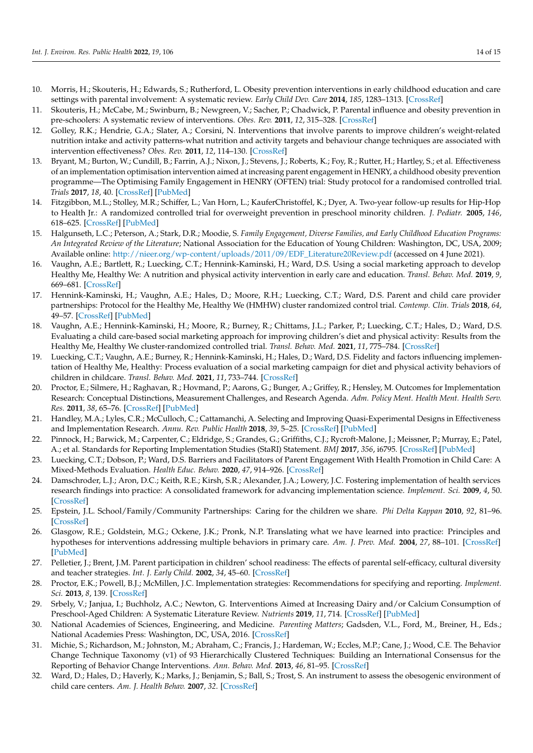- <span id="page-15-0"></span>10. Morris, H.; Skouteris, H.; Edwards, S.; Rutherford, L. Obesity prevention interventions in early childhood education and care settings with parental involvement: A systematic review. *Early Child Dev. Care* **2014**, *185*, 1283–1313. [\[CrossRef\]](http://doi.org/10.1080/03004430.2014.991723)
- <span id="page-15-1"></span>11. Skouteris, H.; McCabe, M.; Swinburn, B.; Newgreen, V.; Sacher, P.; Chadwick, P. Parental influence and obesity prevention in pre-schoolers: A systematic review of interventions. *Obes. Rev.* **2011**, *12*, 315–328. [\[CrossRef\]](http://doi.org/10.1111/j.1467-789X.2010.00751.x)
- <span id="page-15-2"></span>12. Golley, R.K.; Hendrie, G.A.; Slater, A.; Corsini, N. Interventions that involve parents to improve children's weight-related nutrition intake and activity patterns-what nutrition and activity targets and behaviour change techniques are associated with intervention effectiveness? *Obes. Rev.* **2011**, *12*, 114–130. [\[CrossRef\]](http://doi.org/10.1111/j.1467-789X.2010.00745.x)
- <span id="page-15-19"></span><span id="page-15-3"></span>13. Bryant, M.; Burton, W.; Cundill, B.; Farrin, A.J.; Nixon, J.; Stevens, J.; Roberts, K.; Foy, R.; Rutter, H.; Hartley, S.; et al. Effectiveness of an implementation optimisation intervention aimed at increasing parent engagement in HENRY, a childhood obesity prevention programme—The Optimising Family Engagement in HENRY (OFTEN) trial: Study protocol for a randomised controlled trial. *Trials* **2017**, *18*, 40. [\[CrossRef\]](http://doi.org/10.1186/s13063-016-1732-3) [\[PubMed\]](http://www.ncbi.nlm.nih.gov/pubmed/28115006)
- <span id="page-15-4"></span>14. Fitzgibbon, M.L.; Stolley, M.R.; Schiffer, L.; Van Horn, L.; KauferChristoffel, K.; Dyer, A. Two-year follow-up results for Hip-Hop to Health Jr.: A randomized controlled trial for overweight prevention in preschool minority children. *J. Pediatr.* **2005**, *146*, 618–625. [\[CrossRef\]](http://doi.org/10.1016/j.jpeds.2004.12.019) [\[PubMed\]](http://www.ncbi.nlm.nih.gov/pubmed/15870664)
- <span id="page-15-5"></span>15. Halgunseth, L.C.; Peterson, A.; Stark, D.R.; Moodie, S. *Family Engagement, Diverse Families, and Early Childhood Education Programs: An Integrated Review of the Literature*; National Association for the Education of Young Children: Washington, DC, USA, 2009; Available online: [http://nieer.org/wp-content/uploads/2011/09/EDF\\_Literature20Review.pdf](http://nieer.org/wp-content/uploads/2011/09/EDF_Literature20Review.pdf) (accessed on 4 June 2021).
- <span id="page-15-6"></span>16. Vaughn, A.E.; Bartlett, R.; Luecking, C.T.; Hennink-Kaminski, H.; Ward, D.S. Using a social marketing approach to develop Healthy Me, Healthy We: A nutrition and physical activity intervention in early care and education. *Transl. Behav. Med.* **2019**, *9*, 669–681. [\[CrossRef\]](http://doi.org/10.1093/tbm/iby082)
- <span id="page-15-22"></span><span id="page-15-11"></span>17. Hennink-Kaminski, H.; Vaughn, A.E.; Hales, D.; Moore, R.H.; Luecking, C.T.; Ward, D.S. Parent and child care provider partnerships: Protocol for the Healthy Me, Healthy We (HMHW) cluster randomized control trial. *Contemp. Clin. Trials* **2018**, *64*, 49–57. [\[CrossRef\]](http://doi.org/10.1016/j.cct.2017.11.007) [\[PubMed\]](http://www.ncbi.nlm.nih.gov/pubmed/29128650)
- <span id="page-15-23"></span><span id="page-15-7"></span>18. Vaughn, A.E.; Hennink-Kaminski, H.; Moore, R.; Burney, R.; Chittams, J.L.; Parker, P.; Luecking, C.T.; Hales, D.; Ward, D.S. Evaluating a child care-based social marketing approach for improving children's diet and physical activity: Results from the Healthy Me, Healthy We cluster-randomized controlled trial. *Transl. Behav. Med.* **2021**, *11*, 775–784. [\[CrossRef\]](http://doi.org/10.1093/tbm/ibaa113)
- <span id="page-15-18"></span><span id="page-15-8"></span>19. Luecking, C.T.; Vaughn, A.E.; Burney, R.; Hennink-Kaminski, H.; Hales, D.; Ward, D.S. Fidelity and factors influencing implementation of Healthy Me, Healthy: Process evaluation of a social marketing campaign for diet and physical activity behaviors of children in childcare. *Transl. Behav. Med.* **2021**, *11*, 733–744. [\[CrossRef\]](http://doi.org/10.1093/tbm/ibab001)
- <span id="page-15-21"></span><span id="page-15-20"></span><span id="page-15-9"></span>20. Proctor, E.; Silmere, H.; Raghavan, R.; Hovmand, P.; Aarons, G.; Bunger, A.; Griffey, R.; Hensley, M. Outcomes for Implementation Research: Conceptual Distinctions, Measurement Challenges, and Research Agenda. *Adm. Policy Ment. Health Ment. Health Serv. Res.* **2011**, *38*, 65–76. [\[CrossRef\]](http://doi.org/10.1007/s10488-010-0319-7) [\[PubMed\]](http://www.ncbi.nlm.nih.gov/pubmed/20957426)
- <span id="page-15-24"></span><span id="page-15-10"></span>21. Handley, M.A.; Lyles, C.R.; McCulloch, C.; Cattamanchi, A. Selecting and Improving Quasi-Experimental Designs in Effectiveness and Implementation Research. *Annu. Rev. Public Health* **2018**, *39*, 5–25. [\[CrossRef\]](http://doi.org/10.1146/annurev-publhealth-040617-014128) [\[PubMed\]](http://www.ncbi.nlm.nih.gov/pubmed/29328873)
- <span id="page-15-12"></span>22. Pinnock, H.; Barwick, M.; Carpenter, C.; Eldridge, S.; Grandes, G.; Griffiths, C.J.; Rycroft-Malone, J.; Meissner, P.; Murray, E.; Patel, A.; et al. Standards for Reporting Implementation Studies (StaRI) Statement. *BMJ* **2017**, *356*, i6795. [\[CrossRef\]](http://doi.org/10.1136/bmj.i6795) [\[PubMed\]](http://www.ncbi.nlm.nih.gov/pubmed/28264797)
- <span id="page-15-13"></span>23. Luecking, C.T.; Dobson, P.; Ward, D.S. Barriers and Facilitators of Parent Engagement With Health Promotion in Child Care: A Mixed-Methods Evaluation. *Health Educ. Behav.* **2020**, *47*, 914–926. [\[CrossRef\]](http://doi.org/10.1177/1090198120952040)
- <span id="page-15-14"></span>24. Damschroder, L.J.; Aron, D.C.; Keith, R.E.; Kirsh, S.R.; Alexander, J.A.; Lowery, J.C. Fostering implementation of health services research findings into practice: A consolidated framework for advancing implementation science. *Implement. Sci.* **2009**, *4*, 50. [\[CrossRef\]](http://doi.org/10.1186/1748-5908-4-50)
- <span id="page-15-15"></span>25. Epstein, J.L. School/Family/Community Partnerships: Caring for the children we share. *Phi Delta Kappan* **2010**, *92*, 81–96. [\[CrossRef\]](http://doi.org/10.1177/003172171009200326)
- <span id="page-15-16"></span>26. Glasgow, R.E.; Goldstein, M.G.; Ockene, J.K.; Pronk, N.P. Translating what we have learned into practice: Principles and hypotheses for interventions addressing multiple behaviors in primary care. *Am. J. Prev. Med.* **2004**, *27*, 88–101. [\[CrossRef\]](http://doi.org/10.1016/j.amepre.2004.04.019) [\[PubMed\]](http://www.ncbi.nlm.nih.gov/pubmed/15275677)
- 27. Pelletier, J.; Brent, J.M. Parent participation in children' school readiness: The effects of parental self-efficacy, cultural diversity and teacher strategies. *Int. J. Early Child.* **2002**, *34*, 45–60. [\[CrossRef\]](http://doi.org/10.1007/BF03177322)
- <span id="page-15-17"></span>28. Proctor, E.K.; Powell, B.J.; McMillen, J.C. Implementation strategies: Recommendations for specifying and reporting. *Implement. Sci.* **2013**, *8*, 139. [\[CrossRef\]](http://doi.org/10.1186/1748-5908-8-139)
- 29. Srbely, V.; Janjua, I.; Buchholz, A.C.; Newton, G. Interventions Aimed at Increasing Dairy and/or Calcium Consumption of Preschool-Aged Children: A Systematic Literature Review. *Nutrients* **2019**, *11*, 714. [\[CrossRef\]](http://doi.org/10.3390/nu11040714) [\[PubMed\]](http://www.ncbi.nlm.nih.gov/pubmed/30934755)
- 30. National Academies of Sciences, Engineering, and Medicine. *Parenting Matters*; Gadsden, V.L., Ford, M., Breiner, H., Eds.; National Academies Press: Washington, DC, USA, 2016. [\[CrossRef\]](http://doi.org/10.17226/21868)
- 31. Michie, S.; Richardson, M.; Johnston, M.; Abraham, C.; Francis, J.; Hardeman, W.; Eccles, M.P.; Cane, J.; Wood, C.E. The Behavior Change Technique Taxonomy (v1) of 93 Hierarchically Clustered Techniques: Building an International Consensus for the Reporting of Behavior Change Interventions. *Ann. Behav. Med.* **2013**, *46*, 81–95. [\[CrossRef\]](http://doi.org/10.1007/s12160-013-9486-6)
- <span id="page-15-25"></span>32. Ward, D.; Hales, D.; Haverly, K.; Marks, J.; Benjamin, S.; Ball, S.; Trost, S. An instrument to assess the obesogenic environment of child care centers. *Am. J. Health Behav.* **2007**, *32*. [\[CrossRef\]](http://doi.org/10.5993/AJHB.32.4.5)